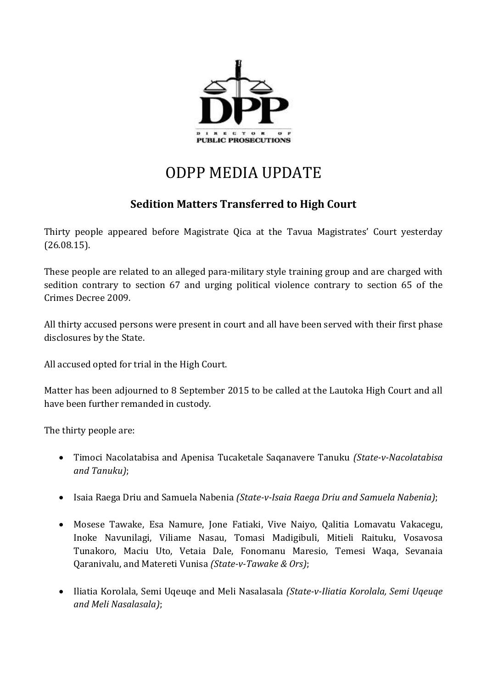

## ODPP MEDIA UPDATE

## **Sedition Matters Transferred to High Court**

Thirty people appeared before Magistrate Qica at the Tavua Magistrates' Court yesterday (26.08.15).

These people are related to an alleged para-military style training group and are charged with sedition contrary to section 67 and urging political violence contrary to section 65 of the Crimes Decree 2009.

All thirty accused persons were present in court and all have been served with their first phase disclosures by the State.

All accused opted for trial in the High Court.

Matter has been adjourned to 8 September 2015 to be called at the Lautoka High Court and all have been further remanded in custody.

The thirty people are:

- Timoci Nacolatabisa and Apenisa Tucaketale Saqanavere Tanuku *(State-v-Nacolatabisa and Tanuku)*;
- Isaia Raega Driu and Samuela Nabenia *(State-v-Isaia Raega Driu and Samuela Nabenia)*;
- Mosese Tawake, Esa Namure, Jone Fatiaki, Vive Naiyo, Qalitia Lomavatu Vakacegu, Inoke Navunilagi, Viliame Nasau, Tomasi Madigibuli, Mitieli Raituku, Vosavosa Tunakoro, Maciu Uto, Vetaia Dale, Fonomanu Maresio, Temesi Waqa, Sevanaia Qaranivalu, and Matereti Vunisa *(State-v-Tawake & Ors)*;
- Iliatia Korolala, Semi Uqeuqe and Meli Nasalasala *(State-v-Iliatia Korolala, Semi Uqeuqe and Meli Nasalasala)*;